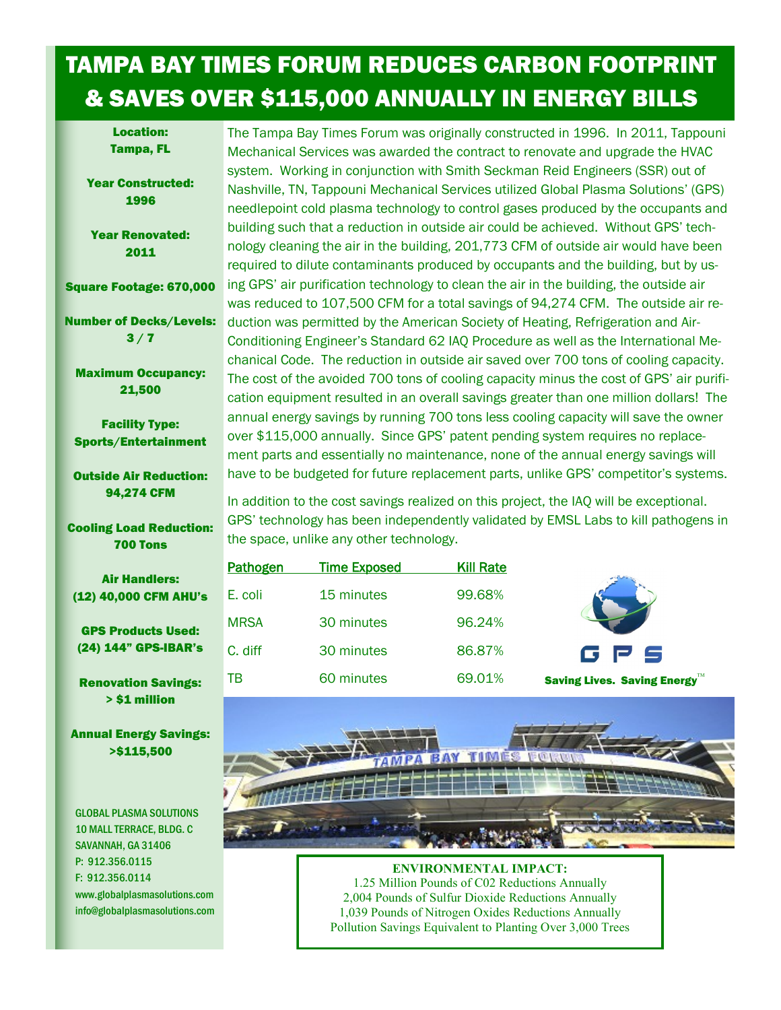## TAMPA BAY TIMES FORUM REDUCES CARBON FOOTPRINT & SAVES OVER \$115,000 ANNUALLY IN ENERGY BILLS

Location: Tampa, FL

Year Constructed: 1996

Year Renovated: 2011

Square Footage: 670,000

Number of Decks/Levels:  $3/7$ 

Maximum Occupancy: 21,500

Facility Type: Sports/Entertainment

Outside Air Reduction: 94,274 CFM

Cooling Load Reduction: 700 Tons

Air Handlers: (12) 40,000 CFM AHU's

GPS Products Used: (24) 144" GPS-IBAR's

Renovation Savings: > \$1 million

Annual Energy Savings: >\$115,500

**GLOBAL PLASMA SOLUTIONS** 10 MALL TERRACE, BLDG. C SAVANNAH, GA 31406 P: 912.356.0115 F: 912.356.0114 www.globalplasmasolutions.com info@globalplasmasolutions.com The Tampa Bay Times Forum was originally constructed in 1996. In 2011, Tappouni Mechanical Services was awarded the contract to renovate and upgrade the HVAC system. Working in conjunction with Smith Seckman Reid Engineers (SSR) out of Nashville, TN, Tappouni Mechanical Services utilized Global Plasma Solutions' (GPS) needlepoint cold plasma technology to control gases produced by the occupants and building such that a reduction in outside air could be achieved. Without GPS' technology cleaning the air in the building, 201,773 CFM of outside air would have been required to dilute contaminants produced by occupants and the building, but by using GPS' air purification technology to clean the air in the building, the outside air was reduced to 107,500 CFM for a total savings of 94,274 CFM. The outside air reduction was permitted by the American Society of Heating, Refrigeration and Air-Conditioning Engineer's Standard 62 IAQ Procedure as well as the International Mechanical Code. The reduction in outside air saved over 700 tons of cooling capacity. The cost of the avoided 700 tons of cooling capacity minus the cost of GPS' air purification equipment resulted in an overall savings greater than one million dollars! The annual energy savings by running 700 tons less cooling capacity will save the owner over \$115,000 annually. Since GPS' patent pending system requires no replacement parts and essentially no maintenance, none of the annual energy savings will have to be budgeted for future replacement parts, unlike GPS' competitor's systems.

In addition to the cost savings realized on this project, the IAQ will be exceptional. GPS' technology has been independently validated by EMSL Labs to kill pathogens in the space, unlike any other technology.

| Pathogen    | <b>Time Exposed</b> | <b>Kill Rate</b> |                              |
|-------------|---------------------|------------------|------------------------------|
| E. coli     | 15 minutes          | 99.68%           |                              |
| <b>MRSA</b> | 30 minutes          | 96.24%           |                              |
| C. diff     | 30 minutes          | 86.87%           | G P S                        |
| TВ          | 60 minutes          | 69.01%           | Saving Lives. Saving Energy™ |



## **ENVIRONMENTAL IMPACT:**

1.25 Million Pounds of C02 Reductions Annually 2,004 Pounds of Sulfur Dioxide Reductions Annually 1,039 Pounds of Nitrogen Oxides Reductions Annually Pollution Savings Equivalent to Planting Over 3,000 Trees